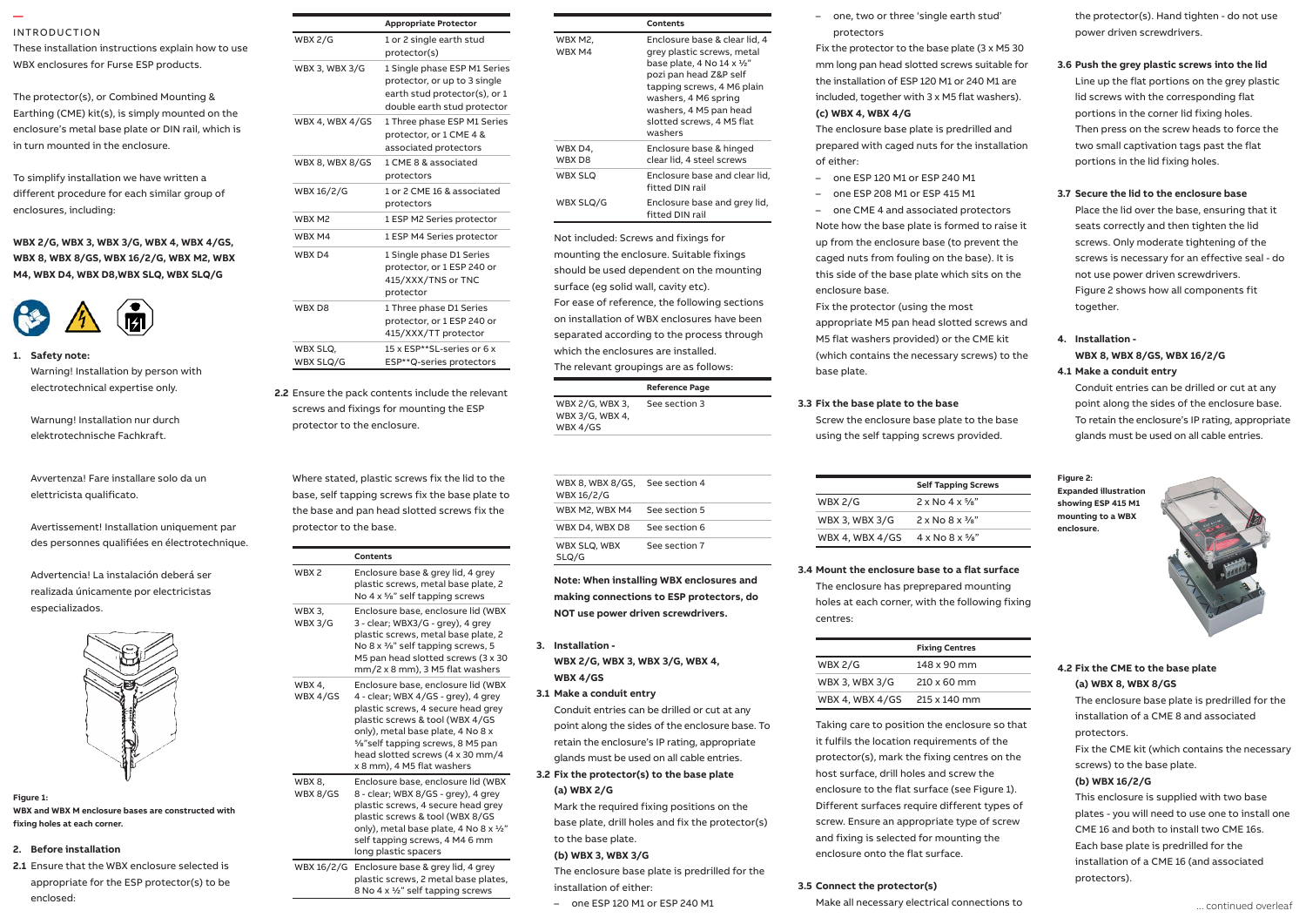#### INTRODUCTION

**—** 

These installation instructions explain how to use WBX enclosures for Furse ESP products.

The protector(s), or Combined Mounting & Earthing (CME) kit(s), is simply mounted on the enclosure's metal base plate or DIN rail, which is in turn mounted in the enclosure.

To simplify installation we have written a different procedure for each similar group of enclosures, including:

WBX 2/G, WBX 3, WBX 3/G, WBX 4, WBX 4/GS, **WBX 8, WBX 8/GS, WBX 16/2/G, WBX M2, WBX M4, WBX D4, WBX D8,WBX SLQ, WBX SLQ/G** WBX 2/G, WBX 3, WBX 3/G, WBX 4, W



**1. Safety note:** Safety note:

Warning! Installation by person with electrotechnical expertise only.  $-$  on the closest available out going way to  $\alpha$ 

Warnung! Installation nur durch elektrotechnische Fachkraft. 1.7 The connecting leads to phase/live

Avvertenza! Fare installare solo da un elettricista qualificato. 1.8 Connecting leads should be 10 mm2

Avertissement! Installation uniquement par and pr des personnes qualifiées en électrotechnique.

Never work on ESP protectors, earthing or their cables during a storm. optimum positioning of both protector and display. Advertencia! La instalación deberá ser realizada únicamente por electricistas especializados.

1.1 Install protectors very close to the power



### **Figure 1: WBX and WBX M enclosure bases are constructed with fixing holes at each corner.**

## **2. Before installation**

**2.1** Ensure that the WBX enclosure selected is appropriate for the ESP protector(s) to be enclosed:

| <b>Appropriate Protector</b><br>1 or 2 single earth stud<br>protector(s)<br><b>WBX 3, WBX 3/G</b><br>1 Single phase ESP M1 Series<br>protector, or up to 3 single<br>earth stud protector(s), or 1<br>double earth stud protector |
|-----------------------------------------------------------------------------------------------------------------------------------------------------------------------------------------------------------------------------------|
|                                                                                                                                                                                                                                   |
|                                                                                                                                                                                                                                   |
|                                                                                                                                                                                                                                   |
| WBX 4, WBX 4/GS<br>1 Three phase ESP M1 Series<br>protector, or 1 CME 4 &<br>associated protectors                                                                                                                                |
| 1 CME 8 & associated<br>WBX 8, WBX 8/GS<br>protectors                                                                                                                                                                             |
| 1 or 2 CME 16 & associated<br>protectors                                                                                                                                                                                          |
| 1 ESP M2 Series protector                                                                                                                                                                                                         |
| 1 ESP M4 Series protector                                                                                                                                                                                                         |
| 1 Single phase D1 Series<br>protector, or 1 ESP 240 or<br>415/XXX/TNS or TNC<br>protector                                                                                                                                         |
| 1 Three phase D1 Series<br>protector, or 1 ESP 240 or<br>415/XXX/TT protector                                                                                                                                                     |
| 15 x ESP**SL-series or 6 x<br>ESP**Q-series protectors                                                                                                                                                                            |
|                                                                                                                                                                                                                                   |

**2.2** Ensure the pack contents include the relevant screws and fixings for mounting the ESP protector to the enclosure.

(terminals can accept up to 25 mm2). Where stated, plastic screws fix the lid to the base, self tapping screws fix the base plate to the base and pan head slotted screws fix the protector to the base.

| ciccu o ceci il ingue.   |                           |                                                                                                                                                                                                                                                                                                 |
|--------------------------|---------------------------|-------------------------------------------------------------------------------------------------------------------------------------------------------------------------------------------------------------------------------------------------------------------------------------------------|
|                          |                           | Contents                                                                                                                                                                                                                                                                                        |
| leberá ser<br>ctricistas | WBX <sub>2</sub>          | Enclosure base & grey lid, 4 grey<br>plastic screws, metal base plate, 2<br>No 4 x 5/8" self tapping screws                                                                                                                                                                                     |
|                          | <b>WBX3,</b><br>WBX 3/G   | Enclosure base, enclosure lid (WBX<br>3 - clear; WBX3/G - grey), 4 grey<br>plastic screws, metal base plate, 2<br>No 8 x 3/8" self tapping screws, 5<br>M5 pan head slotted screws (3 x 30<br>mm/2 x 8 mm), 3 M5 flat washers                                                                   |
|                          | <b>WBX 4.</b><br>WBX 4/GS | Enclosure base, enclosure lid (WBX)<br>4 - clear; WBX 4/GS - grey), 4 grey<br>plastic screws, 4 secure head grey<br>plastic screws & tool (WBX 4/GS<br>only), metal base plate, 4 No 8 x<br>5/8"self tapping screws, 8 M5 pan<br>head slotted screws (4 x 30 mm/4<br>x 8 mm), 4 M5 flat washers |
| constructed with         | <b>WBX8.</b><br>WBX 8/GS  | Enclosure base, enclosure lid (WBX<br>8 - clear; WBX 8/GS - grey), 4 grey<br>plastic screws, 4 secure head grey<br>plastic screws & tool (WBX 8/GS<br>only), metal base plate, 4 No 8 x 1/2"<br>self tapping screws, 4 M4 6 mm<br>long plastic spacers                                          |
| re selected is           |                           | WBX 16/2/G Enclosure base & grey lid, 4 grey                                                                                                                                                                                                                                                    |

| 2/G Enclosure base & grey lid, 4 grey |
|---------------------------------------|
| plastic screws, 2 metal base plates,  |
| 8 No 4 x 1/2" self tapping screws     |
|                                       |

|                   | Contents                                                                                                                                                                                                                                    |
|-------------------|---------------------------------------------------------------------------------------------------------------------------------------------------------------------------------------------------------------------------------------------|
| WBX M2.<br>WBX M4 | Enclosure base & clear lid. 4<br>grey plastic screws, metal<br>base plate, 4 No 14 x 1/2"<br>pozi pan head Z&P self<br>tapping screws, 4 M6 plain<br>washers, 4 M6 spring<br>washers, 4 M5 pan head<br>slotted screws, 4 M5 flat<br>washers |
| WBX D4,<br>WBX D8 | Enclosure base & hinged<br>clear lid, 4 steel screws                                                                                                                                                                                        |
| <b>WBX SLO</b>    | Enclosure base and clear lid.<br>fitted DIN rail                                                                                                                                                                                            |
| WBX SLQ/G         | Enclosure base and grey lid,<br>fitted DIN rail                                                                                                                                                                                             |

Not included: Screws and fixings for mounting the enclosure. Suitable fixings should be used dependent on the mounting surface (eg solid wall, cavity etc). For ease of reference, the following sections on installation of WBX enclosures have been separated according to the process through which the enclosures are installed. The relevant groupings are as follows:

#### **Reference Page**

| WBX 2/G, WBX 3, | See section 3 |
|-----------------|---------------|
| WBX 3/G, WBX 4, |               |
| WBX 4/GS        |               |

| WBX 8, WBX 8/GS,<br>WBX 16/2/G | See section 4 |
|--------------------------------|---------------|
| WBX M2. WBX M4                 | See section 5 |
| WBX D4, WBX D8                 | See section 6 |
| WBX SLQ, WBX<br>SLO/G          | See section 7 |

**Note: When installing WBX enclosures and making connections to ESP protectors, do NOT use power driven screwdrivers.**

- **3. Installation WBX 2/G, WBX 3, WBX 3/G, WBX 4, WBX 4/GS**
- **3.1 Make a conduit entry**

Conduit entries can be drilled or cut at any point along the sides of the enclosure base. To retain the enclosure's IP rating, appropriate glands must be used on all cable entries.

**3.2 Fix the protector(s) to the base plate (a) WBX 2/G**

> Mark the required fixing positions on the base plate, drill holes and fix the protector(s) to the base plate.

#### **(b) WBX 3, WBX 3/G**

The enclosure base plate is predrilled for the installation of either:

– one ESP 120 M1 or ESP 240 M1

– one, two or three 'single earth stud' protectors

Fix the protector to the base plate (3 x M5 30 mm long pan head slotted screws suitable for the installation of ESP 120 M1 or 240 M1 are included, together with 3 x M5 flat washers). **(c) WBX 4, WBX 4/G**

The enclosure base plate is predrilled and prepared with caged nuts for the installation of either:

- one ESP 120 M1 or ESP 240 M1
- one ESP 208 M1 or ESP 415 M1

– one CME 4 and associated protectors Note how the base plate is formed to raise it up from the enclosure base (to prevent the caged nuts from fouling on the base). It is this side of the base plate which sits on the enclosure base.

Fix the protector (using the most appropriate M5 pan head slotted screws and M5 flat washers provided) or the CME kit (which contains the necessary screws) to the base plate.

## **3.3 Fix the base plate to the base**

Screw the enclosure base plate to the base using the self tapping screws provided.

|                 | <b>Self Tapping Screws</b>               |
|-----------------|------------------------------------------|
| WBX 2/G         | $2 \times$ No 4 $\times$ $\frac{5}{8}$ " |
| WBX 3. WBX 3/G  | $2 \times$ No $8 \times \frac{3}{8}$ "   |
| WBX 4, WBX 4/GS | $4 \times$ No $8 \times \frac{5}{8}$ "   |

## **3.4 Mount the enclosure base to a flat surface**

The enclosure has preprepared mounting holes at each corner, with the following fixing centres:

|                 | <b>Fixing Centres</b> |
|-----------------|-----------------------|
| <b>WBX 2/G</b>  | 148 x 90 mm           |
| WBX 3, WBX 3/G  | $210 \times 60$ mm    |
| WBX 4. WBX 4/GS | $215 \times 140$ mm   |

Taking care to position the enclosure so that it fulfils the location requirements of the protector(s), mark the fixing centres on the host surface, drill holes and screw the enclosure to the flat surface (see Figure 1). Different surfaces require different types of screw. Ensure an appropriate type of screw and fixing is selected for mounting the enclosure onto the flat surface.

#### **3.5 Connect the protector(s)**

Make all necessary electrical connections to

the protector(s). Hand tighten - do not use power driven screwdrivers.

## **3.6 Push the grey plastic screws into the lid**

Line up the flat portions on the grey plastic lid screws with the corresponding flat portions in the corner lid fixing holes. Then press on the screw heads to force the two small captivation tags past the flat portions in the lid fixing holes.

## **3.7 Secure the lid to the enclosure base**

Place the lid over the base, ensuring that it seats correctly and then tighten the lid screws. Only moderate tightening of the screws is necessary for an effective seal - do not use power driven screwdrivers. Figure 2 shows how all components fit together.

## **4. Installation - WBX 8, WBX 8/GS, WBX 16/2/G 4.1 Make a conduit entry**

Conduit entries can be drilled or cut at any point along the sides of the enclosure base. To retain the enclosure's IP rating, appropriate glands must be used on all cable entries.

**Figure 2: Expanded illustration showing ESP 415 M1 mounting to a WBX enclosure.**



## **4.2 Fix the CME to the base plate (a) WBX 8, WBX 8/GS**

The enclosure base plate is predrilled for the installation of a CME 8 and associated protectors. Fix the CME kit (which contains the necessary screws) to the base plate. **(b) WBX 16/2/G** This enclosure is supplied with two base plates - you will need to use one to install one

CME 16 and both to install two CME 16s. Each base plate is predrilled for the installation of a CME 16 (and associated protectors).